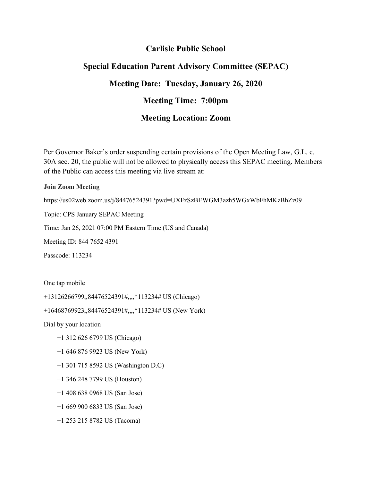## **Carlisle Public School**

## **Special Education Parent Advisory Committee (SEPAC) Meeting Date: Tuesday, January 26, 2020 Meeting Time: 7:00pm Meeting Location: Zoom**

Per Governor Baker's order suspending certain provisions of the Open Meeting Law, G.L. c. 30A sec. 20, the public will not be allowed to physically access this SEPAC meeting. Members of the Public can access this meeting via live stream at:

## **Join Zoom Meeting**

https://us02web.zoom.us/j/84476524391?pwd=UXFzSzBEWGM3azh5WGxWbFhMKzBhZz09

Topic: CPS January SEPAC Meeting

Time: Jan 26, 2021 07:00 PM Eastern Time (US and Canada)

Meeting ID: 844 7652 4391

Passcode: 113234

One tap mobile

+13126266799,,84476524391#,,,,\*113234# US (Chicago)

+16468769923,,84476524391#,,,,\*113234# US (New York)

Dial by your location

- +1 312 626 6799 US (Chicago)
- +1 646 876 9923 US (New York)
- +1 301 715 8592 US (Washington D.C)
- +1 346 248 7799 US (Houston)
- +1 408 638 0968 US (San Jose)
- +1 669 900 6833 US (San Jose)
- +1 253 215 8782 US (Tacoma)